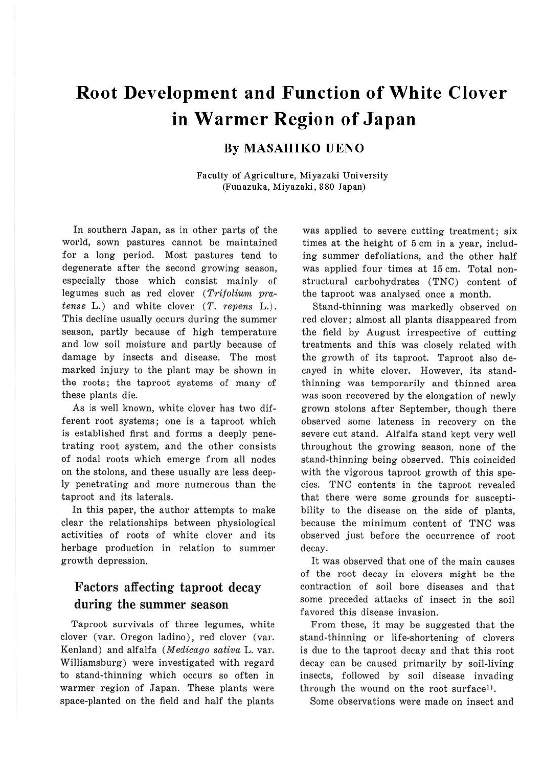# **Root Development and Function of White Clover in Warmer Region of Japan**

## **By MASAHIKO UENO**

Faculty of Agriculture, Miyazaki University (Funazuka, Miyazaki, 880 Japan)

In southern Japan, as in other parts of the world, sown pastures cannot be maintained for a long period. Most pastures tend to degenerate after the second growing season, especially those which consist mainly of legumes such as red clover (Trifolium pratense L.) and white clover  $(T.$  repens L.). This decline usually occurs during the summer season, partly because of high temperature and low soil moisture and partly because of damage by insects and disease. The most marked injury to the plant may be shown in the roots; the taproot systems of many of these plants die.

As is well known, white clover has two different root systems; one is a taproot which is established first and forms a deeply penetrating root system, and the other consists of nodal roots which emerge from all nodes on the stolons, and these usually are less deeply penetrating and more numerous than the taproot and its laterals.

In this paper, the author attempts to make clear the relationships between physiological activities of roots of white clover and its herbage production in relation to summer growth depression.

# Factors affecting taproot decay during the summer season

Taproot survivals of three legumes, white clover (var. Oregon ladino), red clover (var. Kenland) and alfalfa (Medicago sativa L. var. Williamsburg) were investigated with regard to stand-thinning which occurs so often in warmer region of Japan. These plants were space-planted on the field and half the plants

was applied to severe cutting treatment; six times at the height of 5 cm in a year, including summer defoliations, and the other half was applied four times at 15 cm. Total nonstructural carbohydrates (TNC) content of the taproot was analysed once a month.

Stand-thinning was markedly observed on red clover; almost all plants disappeared from the field by August irrespective of cutting treatments and this was closely related with the growth of its taproot. Taproot also decayed in white clover. However, its standthinning was temporarily and thinned area was soon recovered by the elongation of newly grown stolons after September, though there observed some lateness in recovery on the severe cut stand. Alfalfa stand kept very well throughout the growing season, none of the stand-thinning being observed. This coincided with the vigorous taproot growth of this species. TNC contents in the taproot revealed that there were some grounds for susceptibility to the disease on the side of plants, because the minimum content of TNC was observed just before the occurrence of root decay.

It was observed that one of the main causes of the root decay in clovers might be the contraction of soil bore diseases and that some preceded attacks of insect in the soil favored this disease invasion.

From these, it may be suggested that the stand-thinning or life-shortening of clovers is due to the taproot decay and that this root decay can be caused primarily by soil-living insects, followed by soil disease invading through the wound on the root surface<sup>1)</sup>.

Some observations were made on insect and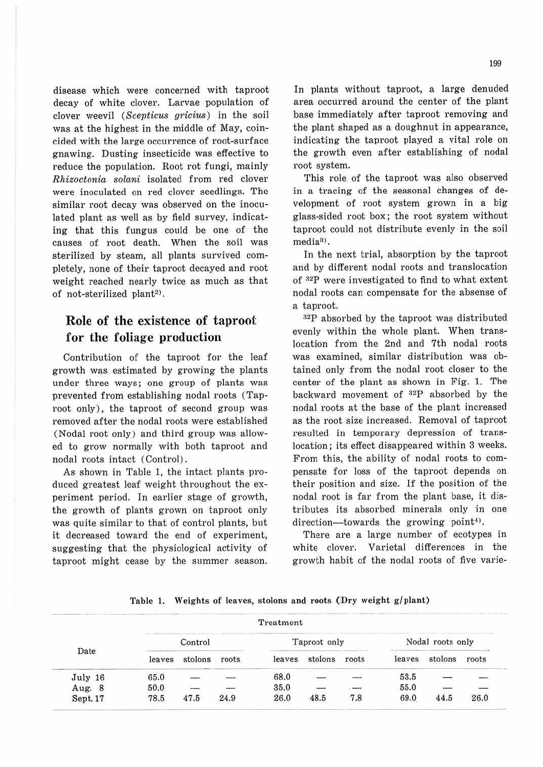disease which were concerned with taproot decay of white clover. Larvae population of clover weevil (Scepticus gricius) in the soil was at the highest in the middle of May, coincided with the large occurrence of root-surface gnawing. Dusting insecticide was effective to reduce the population. Root rot fungi, mainly *Rhizoctonia solani* isolated from red clover were inoculated on red clover seedlings. The similar root decay was observed on the inoculated plant as well as by field survey, indicating that this fungus could be one of the causes of root death. When the soil was sterilized by steam, all plants survived completely, none of their taproot decayed and root weight reached nearly twice as much as that of not-sterilized plant<sup>2)</sup>.

# **Role of the existence of taproot for the foliage production**

Contribution of the taproot for the leaf growth was estimated by growing the plants under three ways; one group of plants was prevented from establishing nodal roots (Taproot only), the taproot of second group was removed after the nodal roots were established (Nodal root only) and third group was allowed to grow normally with both taproot and nodal roots intact (Control) .

As shown in Table 1, the intact plants produced greatest leaf weight throughout the experiment period. In earlier stage of growth, the growth of plants grown on taproot only was quite similar to that of control plants, but it decreased toward the end of experiment, suggesting that the physiological activity of taproot might cease by the summer season. In plants without taproot, a large denuded area occurred around the center of the plant base immediately after taproot removing and the plant shaped as a doughnut in appearance, indicating the taproot played a vital role on the growth even after establishing of nodal root system.

This role of the taproot was also observed in a tracing of the seasonal changes of development of root system grown in a big glass-sided root box; the root system without taproot could not distribute evenly in the soil media<sup>3)</sup>.

In the next trial, absorption by the taproot and by different nodal roots and translocation of  $^{32}P$  were investigated to find to what extent nodal roots can compensate for the absense of a taproot.

 $^{32}P$  absorbed by the taproot was distributed evenly within the whole plant. When translocation from the 2nd and 7th nodal roots was examined, similar distribution was obtained only from the nodal root closer to the center of the plant as shown in Fig. 1. The backward movement of *azp* absorbed by the nodal roots at the base of the plant increased as the root size increased. Removal of taproot resulted in temporary depression of translocation; its effect disappeared within 3 weeks. From this, the ability of nodal roots to compensate for Joss of the taproot depends on their position and size. If the position of the nodal root is far from the plant base, it distributes its absorbed minerals only in one direction-towards the growing point<sup>4)</sup>.

There are a large number of ecotypes in white clover. Varietal differences in the growth habit of the nodal roots of five varie-

| Table 1. Weights of leaves, stolons and roots (Dry weight g/plant) |  |  |  |  |  |
|--------------------------------------------------------------------|--|--|--|--|--|
|--------------------------------------------------------------------|--|--|--|--|--|

|          | Treatment |         |       |              |         |       |                  |         |       |
|----------|-----------|---------|-------|--------------|---------|-------|------------------|---------|-------|
| Date     | Control   |         |       | Taproot only |         |       | Nodal roots only |         |       |
|          | leaves    | stolons | roots | leaves       | stolons | roots | leaves           | stolons | roots |
| July 16  | 65.0      |         |       | 68.0         |         |       | 53.5             |         |       |
| Aug. 8   | 50.0      |         |       | 35.0         |         |       | 55.0             |         |       |
| Sept. 17 | 78.5      | 47.5    | 24.9  | 26.0         | 48.5    | 7.8   | 69.0             | 44.5    | 26.0  |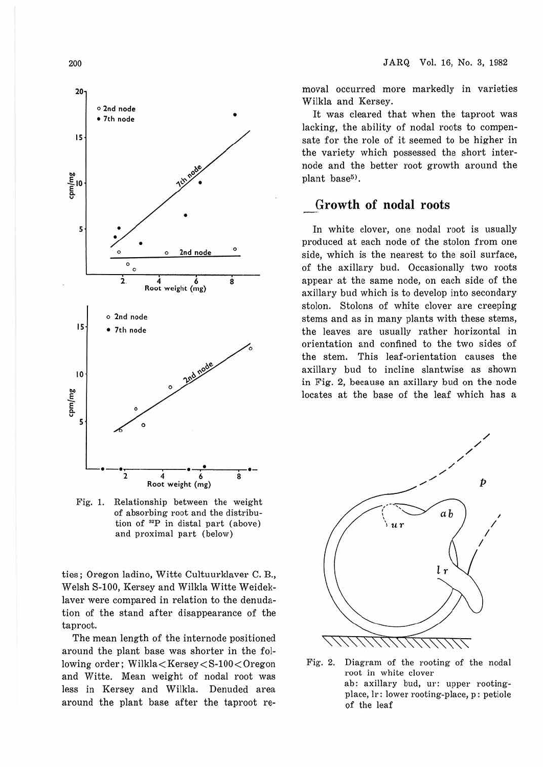

200

Fig. 1. Relationship between the weight of absorbing root and the distribution of **"P** in distal part (above) and proximal part (below)

ties; Oregon ladino, Witte Cultuurklaver C. B., Welsh S-100, Kersey and Wilkla Witte Weideklaver were compared in relation to the denudation of the stand after disappearance of the taproot.

The mean length of the internode positioned around the plant base was shorter in the following order; Wilkla<Kersey<S-100<Oregon and Witte. Mean weight of nodal root was less in Kersey and Wilkla. Denuded area around the plant base after the taproot removal occurred more markedly in varieties Wilkla and Kersey.

It was cleared that when the taproot was lacking, the ability of nodal roots to compensate for the role of it seemed to be higher in the variety which possessed the short internode and the better root growth around the plant base<sup>5)</sup>.

### **Growth of nodal roots**

In white clover, one nodal root is usually produced at each node of the stolon from one side, which is the nearest to the soil surface, of the axillary bud. Occasionally two roots appear at the same node, on each side of the axillary bud which is to develop into secondary stolon. Stolons of white clover are creeping stems and as in many plants with these stems, the leaves are usually rather horizontal in orientation and confined to the two sides of the stem. This leaf-orientation causes the axillary bud to incline slantwise as shown in Fig. 2, because an axillary bud on the node locates at the base of the leaf which has a



Fig. 2. Diagram of the rooting of the nodal root in white clover ab: axillary bud, ur: upper rootingplace, Ir: lower rooting-place, p: petiole of the leaf